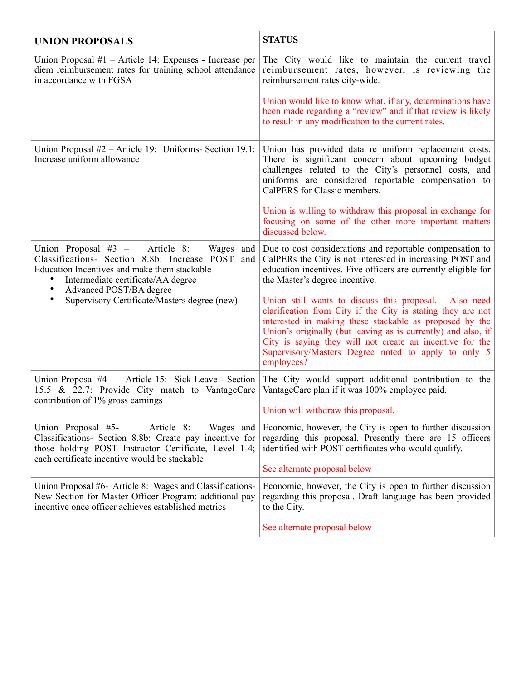| <b>UNION PROPOSALS</b>                                                                                                                                                                                                                                                                               | <b>STATUS</b>                                                                                                                                                                                                                                                                                                                                                                     |
|------------------------------------------------------------------------------------------------------------------------------------------------------------------------------------------------------------------------------------------------------------------------------------------------------|-----------------------------------------------------------------------------------------------------------------------------------------------------------------------------------------------------------------------------------------------------------------------------------------------------------------------------------------------------------------------------------|
| Union Proposal $#1$ – Article 14: Expenses - Increase per<br>diem reimbursement rates for training school attendance<br>in accordance with FGSA                                                                                                                                                      | The City would like to maintain the current travel<br>reimbursement rates, however, is reviewing the<br>reimbursement rates city-wide.                                                                                                                                                                                                                                            |
|                                                                                                                                                                                                                                                                                                      | Union would like to know what, if any, determinations have<br>been made regarding a "review" and if that review is likely<br>to result in any modification to the current rates.                                                                                                                                                                                                  |
| Union Proposal $#2$ – Article 19: Uniforms- Section 19.1:<br>Increase uniform allowance                                                                                                                                                                                                              | Union has provided data re uniform replacement costs.<br>There is significant concern about upcoming budget<br>challenges related to the City's personnel costs, and<br>uniforms are considered reportable compensation to<br>CalPERS for Classic members.                                                                                                                        |
|                                                                                                                                                                                                                                                                                                      | Union is willing to withdraw this proposal in exchange for<br>focusing on some of the other more important matters<br>discussed below.                                                                                                                                                                                                                                            |
| Union Proposal $#3$ –<br>Article 8:<br>Classifications- Section 8.8b: Increase POST<br>and  <br>Education Incentives and make them stackable<br>Intermediate certificate/AA degree<br>$\bullet$<br>$\bullet$<br>Advanced POST/BA degree<br>Supervisory Certificate/Masters degree (new)<br>$\bullet$ | Wages and Due to cost considerations and reportable compensation to<br>CalPERs the City is not interested in increasing POST and<br>education incentives. Five officers are currently eligible for<br>the Master's degree incentive.                                                                                                                                              |
|                                                                                                                                                                                                                                                                                                      | Union still wants to discuss this proposal. Also need<br>clarification from City if the City is stating they are not<br>interested in making these stackable as proposed by the<br>Union's originally (but leaving as is currently) and also, if<br>City is saying they will not create an incentive for the<br>Supervisory/Masters Degree noted to apply to only 5<br>employees? |
| Union Proposal #4 – Article 15: Sick Leave - Section<br>15.5 & 22.7: Provide City match to VantageCare<br>contribution of 1% gross earnings                                                                                                                                                          | The City would support additional contribution to the<br>VantageCare plan if it was 100% employee paid.<br>Union will withdraw this proposal.                                                                                                                                                                                                                                     |
|                                                                                                                                                                                                                                                                                                      |                                                                                                                                                                                                                                                                                                                                                                                   |
| Union Proposal #5-<br>Article 8:<br>Wages and<br>Classifications- Section 8.8b: Create pay incentive for<br>those holding POST Instructor Certificate, Level 1-4;<br>each certificate incentive would be stackable                                                                                   | Economic, however, the City is open to further discussion<br>regarding this proposal. Presently there are 15 officers<br>identified with POST certificates who would qualify.                                                                                                                                                                                                     |
|                                                                                                                                                                                                                                                                                                      | See alternate proposal below                                                                                                                                                                                                                                                                                                                                                      |
| Union Proposal #6- Article 8: Wages and Classifications-<br>New Section for Master Officer Program: additional pay<br>incentive once officer achieves established metrics                                                                                                                            | Economic, however, the City is open to further discussion<br>regarding this proposal. Draft language has been provided<br>to the City.                                                                                                                                                                                                                                            |
|                                                                                                                                                                                                                                                                                                      | See alternate proposal below                                                                                                                                                                                                                                                                                                                                                      |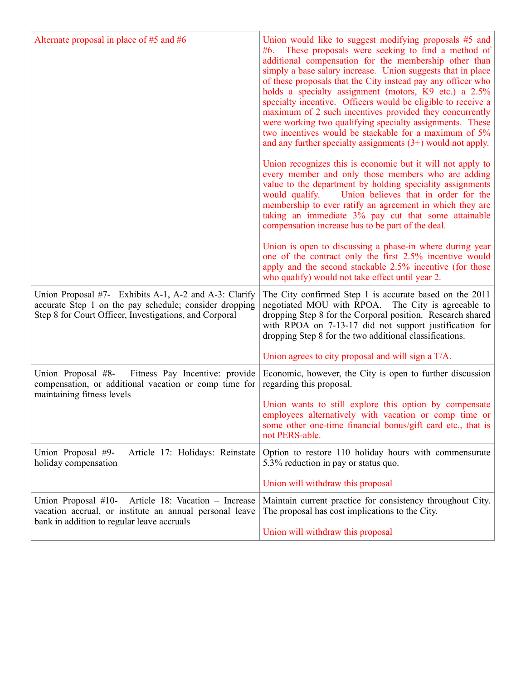| Alternate proposal in place of $#5$ and $#6$                                                                                                                              | Union would like to suggest modifying proposals #5 and<br>#6. These proposals were seeking to find a method of<br>additional compensation for the membership other than<br>simply a base salary increase. Union suggests that in place<br>of these proposals that the City instead pay any officer who<br>holds a specialty assignment (motors, K9 etc.) a 2.5%<br>specialty incentive. Officers would be eligible to receive a<br>maximum of 2 such incentives provided they concurrently<br>were working two qualifying specialty assignments. These<br>two incentives would be stackable for a maximum of 5%<br>and any further specialty assignments $(3+)$ would not apply. |
|---------------------------------------------------------------------------------------------------------------------------------------------------------------------------|----------------------------------------------------------------------------------------------------------------------------------------------------------------------------------------------------------------------------------------------------------------------------------------------------------------------------------------------------------------------------------------------------------------------------------------------------------------------------------------------------------------------------------------------------------------------------------------------------------------------------------------------------------------------------------|
|                                                                                                                                                                           | Union recognizes this is economic but it will not apply to<br>every member and only those members who are adding<br>value to the department by holding speciality assignments<br>would qualify.<br>Union believes that in order for the<br>membership to ever ratify an agreement in which they are<br>taking an immediate 3% pay cut that some attainable<br>compensation increase has to be part of the deal.                                                                                                                                                                                                                                                                  |
|                                                                                                                                                                           | Union is open to discussing a phase-in where during year<br>one of the contract only the first 2.5% incentive would<br>apply and the second stackable 2.5% incentive (for those<br>who qualify) would not take effect until year 2.                                                                                                                                                                                                                                                                                                                                                                                                                                              |
| Union Proposal #7- Exhibits A-1, A-2 and A-3: Clarify<br>accurate Step 1 on the pay schedule; consider dropping<br>Step 8 for Court Officer, Investigations, and Corporal | The City confirmed Step 1 is accurate based on the 2011<br>negotiated MOU with RPOA. The City is agreeable to<br>dropping Step 8 for the Corporal position. Research shared<br>with RPOA on 7-13-17 did not support justification for<br>dropping Step 8 for the two additional classifications.                                                                                                                                                                                                                                                                                                                                                                                 |
|                                                                                                                                                                           | Union agrees to city proposal and will sign a T/A.                                                                                                                                                                                                                                                                                                                                                                                                                                                                                                                                                                                                                               |
| Union Proposal #8-<br>Fitness Pay Incentive: provide<br>compensation, or additional vacation or comp time for<br>maintaining fitness levels                               | Economic, however, the City is open to further discussion<br>regarding this proposal.                                                                                                                                                                                                                                                                                                                                                                                                                                                                                                                                                                                            |
|                                                                                                                                                                           | Union wants to still explore this option by compensate<br>employees alternatively with vacation or comp time or<br>some other one-time financial bonus/gift card etc., that is<br>not PERS-able.                                                                                                                                                                                                                                                                                                                                                                                                                                                                                 |
| Article 17: Holidays: Reinstate<br>Union Proposal #9-<br>holiday compensation                                                                                             | Option to restore 110 holiday hours with commensurate<br>5.3% reduction in pay or status quo.                                                                                                                                                                                                                                                                                                                                                                                                                                                                                                                                                                                    |
|                                                                                                                                                                           | Union will withdraw this proposal                                                                                                                                                                                                                                                                                                                                                                                                                                                                                                                                                                                                                                                |
| Article 18: Vacation - Increase<br>Union Proposal $#10-$<br>vacation accrual, or institute an annual personal leave<br>bank in addition to regular leave accruals         | Maintain current practice for consistency throughout City.<br>The proposal has cost implications to the City.                                                                                                                                                                                                                                                                                                                                                                                                                                                                                                                                                                    |
|                                                                                                                                                                           | Union will withdraw this proposal                                                                                                                                                                                                                                                                                                                                                                                                                                                                                                                                                                                                                                                |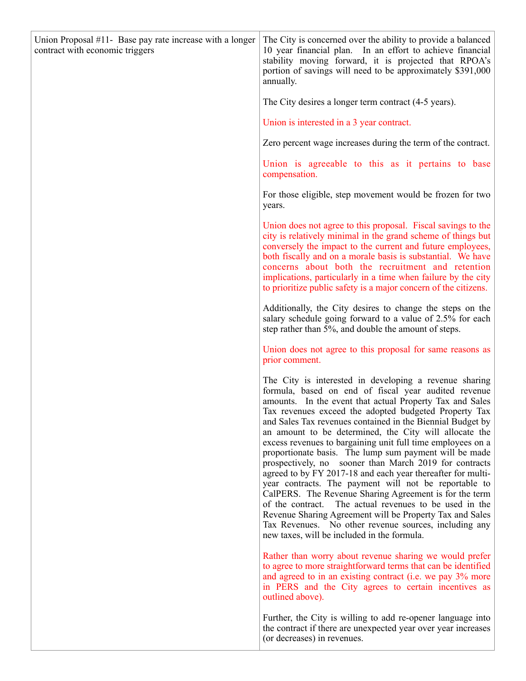| Union Proposal #11- Base pay rate increase with a longer<br>contract with economic triggers | The City is concerned over the ability to provide a balanced<br>10 year financial plan. In an effort to achieve financial<br>stability moving forward, it is projected that RPOA's<br>portion of savings will need to be approximately \$391,000<br>annually.                                                                                                                                                                                                                                                                                                                                                                                                                                                                                                                                                                                                                                                                                                  |
|---------------------------------------------------------------------------------------------|----------------------------------------------------------------------------------------------------------------------------------------------------------------------------------------------------------------------------------------------------------------------------------------------------------------------------------------------------------------------------------------------------------------------------------------------------------------------------------------------------------------------------------------------------------------------------------------------------------------------------------------------------------------------------------------------------------------------------------------------------------------------------------------------------------------------------------------------------------------------------------------------------------------------------------------------------------------|
|                                                                                             | The City desires a longer term contract (4-5 years).                                                                                                                                                                                                                                                                                                                                                                                                                                                                                                                                                                                                                                                                                                                                                                                                                                                                                                           |
|                                                                                             | Union is interested in a 3 year contract.                                                                                                                                                                                                                                                                                                                                                                                                                                                                                                                                                                                                                                                                                                                                                                                                                                                                                                                      |
|                                                                                             | Zero percent wage increases during the term of the contract.                                                                                                                                                                                                                                                                                                                                                                                                                                                                                                                                                                                                                                                                                                                                                                                                                                                                                                   |
|                                                                                             | Union is agreeable to this as it pertains to base<br>compensation.                                                                                                                                                                                                                                                                                                                                                                                                                                                                                                                                                                                                                                                                                                                                                                                                                                                                                             |
|                                                                                             | For those eligible, step movement would be frozen for two<br>years.                                                                                                                                                                                                                                                                                                                                                                                                                                                                                                                                                                                                                                                                                                                                                                                                                                                                                            |
|                                                                                             | Union does not agree to this proposal. Fiscal savings to the<br>city is relatively minimal in the grand scheme of things but<br>conversely the impact to the current and future employees,<br>both fiscally and on a morale basis is substantial. We have<br>concerns about both the recruitment and retention<br>implications, particularly in a time when failure by the city<br>to prioritize public safety is a major concern of the citizens.                                                                                                                                                                                                                                                                                                                                                                                                                                                                                                             |
|                                                                                             | Additionally, the City desires to change the steps on the<br>salary schedule going forward to a value of 2.5% for each<br>step rather than 5%, and double the amount of steps.                                                                                                                                                                                                                                                                                                                                                                                                                                                                                                                                                                                                                                                                                                                                                                                 |
|                                                                                             | Union does not agree to this proposal for same reasons as<br>prior comment.                                                                                                                                                                                                                                                                                                                                                                                                                                                                                                                                                                                                                                                                                                                                                                                                                                                                                    |
|                                                                                             | The City is interested in developing a revenue sharing<br>formula, based on end of fiscal year audited revenue<br>amounts. In the event that actual Property Tax and Sales<br>Tax revenues exceed the adopted budgeted Property Tax<br>and Sales Tax revenues contained in the Biennial Budget by<br>an amount to be determined, the City will allocate the<br>excess revenues to bargaining unit full time employees on a<br>proportionate basis. The lump sum payment will be made<br>prospectively, no sooner than March 2019 for contracts<br>agreed to by FY 2017-18 and each year thereafter for multi-<br>year contracts. The payment will not be reportable to<br>CalPERS. The Revenue Sharing Agreement is for the term<br>of the contract. The actual revenues to be used in the<br>Revenue Sharing Agreement will be Property Tax and Sales<br>Tax Revenues. No other revenue sources, including any<br>new taxes, will be included in the formula. |
|                                                                                             | Rather than worry about revenue sharing we would prefer<br>to agree to more straightforward terms that can be identified<br>and agreed to in an existing contract (i.e. we pay 3% more<br>in PERS and the City agrees to certain incentives as<br>outlined above).                                                                                                                                                                                                                                                                                                                                                                                                                                                                                                                                                                                                                                                                                             |
|                                                                                             | Further, the City is willing to add re-opener language into<br>the contract if there are unexpected year over year increases<br>(or decreases) in revenues.                                                                                                                                                                                                                                                                                                                                                                                                                                                                                                                                                                                                                                                                                                                                                                                                    |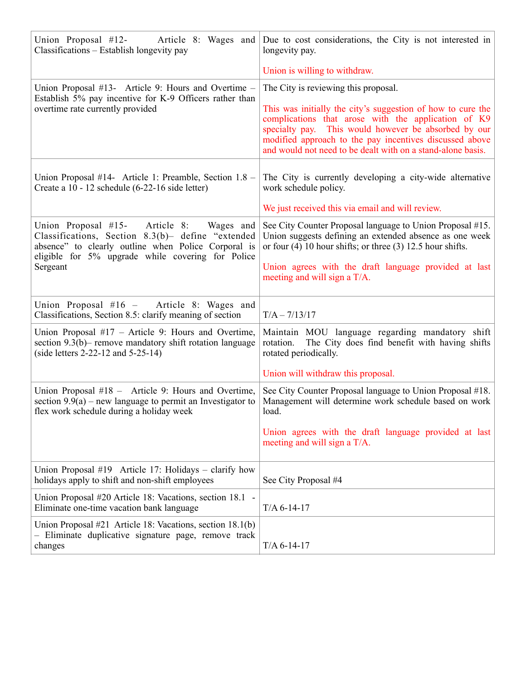| Union Proposal #12-<br>Classifications – Establish longevity pay                                                                                                                                                            | Article 8: Wages and Due to cost considerations, the City is not interested in<br>longevity pay.                                                                                                                                                                                                     |
|-----------------------------------------------------------------------------------------------------------------------------------------------------------------------------------------------------------------------------|------------------------------------------------------------------------------------------------------------------------------------------------------------------------------------------------------------------------------------------------------------------------------------------------------|
|                                                                                                                                                                                                                             | Union is willing to withdraw.                                                                                                                                                                                                                                                                        |
| Union Proposal #13- Article 9: Hours and Overtime –                                                                                                                                                                         | The City is reviewing this proposal.                                                                                                                                                                                                                                                                 |
| Establish 5% pay incentive for K-9 Officers rather than<br>overtime rate currently provided                                                                                                                                 | This was initially the city's suggestion of how to cure the<br>complications that arose with the application of K9<br>specialty pay. This would however be absorbed by our<br>modified approach to the pay incentives discussed above<br>and would not need to be dealt with on a stand-alone basis. |
| Union Proposal #14- Article 1: Preamble, Section 1.8 –<br>Create a 10 - 12 schedule (6-22-16 side letter)                                                                                                                   | The City is currently developing a city-wide alternative<br>work schedule policy.                                                                                                                                                                                                                    |
|                                                                                                                                                                                                                             | We just received this via email and will review.                                                                                                                                                                                                                                                     |
| Union Proposal #15-<br>Article 8:<br>Wages and<br>Classifications, Section 8.3(b)- define "extended<br>absence" to clearly outline when Police Corporal is<br>eligible for 5% upgrade while covering for Police<br>Sergeant | See City Counter Proposal language to Union Proposal #15.<br>Union suggests defining an extended absence as one week<br>or four $(4)$ 10 hour shifts; or three $(3)$ 12.5 hour shifts.<br>Union agrees with the draft language provided at last<br>meeting and will sign a T/A.                      |
|                                                                                                                                                                                                                             |                                                                                                                                                                                                                                                                                                      |
| Union Proposal #16 - Article 8: Wages and<br>Classifications, Section 8.5: clarify meaning of section                                                                                                                       | $T/A - 7/13/17$                                                                                                                                                                                                                                                                                      |
| Union Proposal $#17$ – Article 9: Hours and Overtime,<br>section 9.3(b) – remove mandatory shift rotation language<br>(side letters $2-22-12$ and $5-25-14$ )                                                               | Maintain MOU language regarding mandatory shift<br>rotation.<br>The City does find benefit with having shifts<br>rotated periodically.                                                                                                                                                               |
|                                                                                                                                                                                                                             | Union will withdraw this proposal.                                                                                                                                                                                                                                                                   |
| Union Proposal #18 - Article 9: Hours and Overtime,<br>section $9.9(a)$ – new language to permit an Investigator to<br>flex work schedule during a holiday week                                                             | See City Counter Proposal language to Union Proposal #18.<br>Management will determine work schedule based on work<br>load.                                                                                                                                                                          |
|                                                                                                                                                                                                                             | Union agrees with the draft language provided at last<br>meeting and will sign a T/A.                                                                                                                                                                                                                |
| Union Proposal #19 Article 17: Holidays – clarify how<br>holidays apply to shift and non-shift employees                                                                                                                    | See City Proposal #4                                                                                                                                                                                                                                                                                 |
| Union Proposal #20 Article 18: Vacations, section 18.1 -<br>Eliminate one-time vacation bank language                                                                                                                       | $T/A$ 6-14-17                                                                                                                                                                                                                                                                                        |
| Union Proposal #21 Article 18: Vacations, section 18.1(b)<br>- Eliminate duplicative signature page, remove track<br>changes                                                                                                | $T/A$ 6-14-17                                                                                                                                                                                                                                                                                        |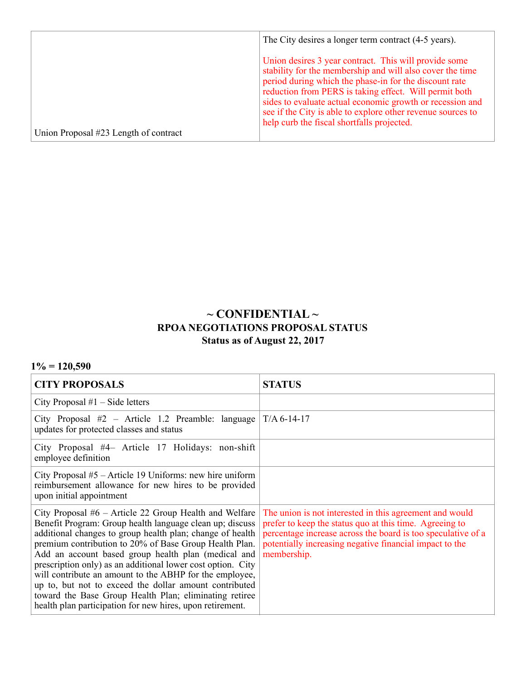|                                       | The City desires a longer term contract (4-5 years).                                                                                                                                                                                                                                                                                                                                                             |
|---------------------------------------|------------------------------------------------------------------------------------------------------------------------------------------------------------------------------------------------------------------------------------------------------------------------------------------------------------------------------------------------------------------------------------------------------------------|
|                                       | Union desires 3 year contract. This will provide some<br>stability for the membership and will also cover the time<br>period during which the phase-in for the discount rate<br>reduction from PERS is taking effect. Will permit both<br>sides to evaluate actual economic growth or recession and<br>see if the City is able to explore other revenue sources to<br>help curb the fiscal shortfalls projected. |
| Union Proposal #23 Length of contract |                                                                                                                                                                                                                                                                                                                                                                                                                  |

## **~ CONFIDENTIAL ~ RPOA NEGOTIATIONS PROPOSAL STATUS Status as of August 22, 2017**

## **1% = 120,590**

| <b>CITY PROPOSALS</b>                                                                                                                                                                                                                                                                                                                                                                                                                                                                                                                                                                                         | <b>STATUS</b>                                                                                                                                                                                                                                                |
|---------------------------------------------------------------------------------------------------------------------------------------------------------------------------------------------------------------------------------------------------------------------------------------------------------------------------------------------------------------------------------------------------------------------------------------------------------------------------------------------------------------------------------------------------------------------------------------------------------------|--------------------------------------------------------------------------------------------------------------------------------------------------------------------------------------------------------------------------------------------------------------|
| City Proposal $#1$ – Side letters                                                                                                                                                                                                                                                                                                                                                                                                                                                                                                                                                                             |                                                                                                                                                                                                                                                              |
| City Proposal #2 – Article 1.2 Preamble: language<br>updates for protected classes and status                                                                                                                                                                                                                                                                                                                                                                                                                                                                                                                 | $T/A$ 6-14-17                                                                                                                                                                                                                                                |
| City Proposal #4– Article 17 Holidays: non-shift<br>employee definition                                                                                                                                                                                                                                                                                                                                                                                                                                                                                                                                       |                                                                                                                                                                                                                                                              |
| City Proposal $#5$ – Article 19 Uniforms: new hire uniform<br>reimbursement allowance for new hires to be provided<br>upon initial appointment                                                                                                                                                                                                                                                                                                                                                                                                                                                                |                                                                                                                                                                                                                                                              |
| City Proposal $#6$ – Article 22 Group Health and Welfare<br>Benefit Program: Group health language clean up; discuss<br>additional changes to group health plan; change of health<br>premium contribution to 20% of Base Group Health Plan.<br>Add an account based group health plan (medical and<br>prescription only) as an additional lower cost option. City<br>will contribute an amount to the ABHP for the employee,<br>up to, but not to exceed the dollar amount contributed<br>toward the Base Group Health Plan; eliminating retiree<br>health plan participation for new hires, upon retirement. | The union is not interested in this agreement and would<br>prefer to keep the status quo at this time. Agreeing to<br>percentage increase across the board is too speculative of a<br>potentially increasing negative financial impact to the<br>membership. |